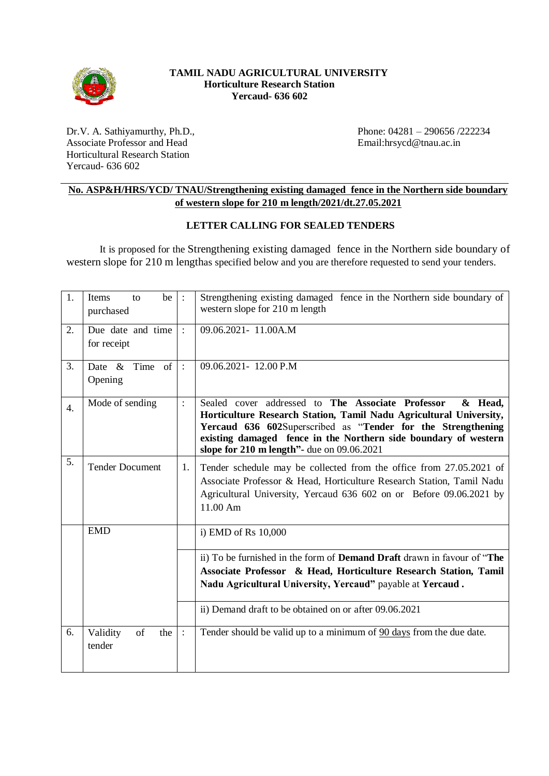

### **TAMIL NADU AGRICULTURAL UNIVERSITY Horticulture Research Station Yercaud- 636 602**

Dr.V. A. Sathiyamurthy, Ph.D., Associate Professor and Head Horticultural Research Station Yercaud- 636 602

Phone: 04281 – 290656 /222234 Email:hrsycd@tnau.ac.in

## **No. ASP&H/HRS/YCD/ TNAU/Strengthening existing damaged fence in the Northern side boundary of western slope for 210 m length/2021/dt.27.05.2021**

## **LETTER CALLING FOR SEALED TENDERS**

It is proposed for the Strengthening existing damaged fence in the Northern side boundary of western slope for 210 m lengthas specified below and you are therefore requested to send your tenders.

| 1.               | be  <br>Items<br>to<br>purchased | $\dddot{\phantom{1}}$ : | Strengthening existing damaged fence in the Northern side boundary of<br>western slope for 210 m length                                                                                                                                                                                                                 |  |  |
|------------------|----------------------------------|-------------------------|-------------------------------------------------------------------------------------------------------------------------------------------------------------------------------------------------------------------------------------------------------------------------------------------------------------------------|--|--|
| 2.               | Due date and time<br>for receipt | $\cdot$                 | 09.06.2021-11.00A.M                                                                                                                                                                                                                                                                                                     |  |  |
| 3.               | Date $\&$<br>Time of<br>Opening  | $\ddot{\cdot}$          | 09.06.2021-12.00 P.M                                                                                                                                                                                                                                                                                                    |  |  |
| $\overline{4}$ . | Mode of sending                  | $\ddot{\cdot}$          | Sealed cover addressed to The Associate Professor<br>& Head,<br>Horticulture Research Station, Tamil Nadu Agricultural University,<br>Yercaud 636 602Superscribed as "Tender for the Strengthening<br>existing damaged fence in the Northern side boundary of western<br>slope for $210$ m length"- due on $09.06.2021$ |  |  |
| 5.               | <b>Tender Document</b>           | 1.                      | Tender schedule may be collected from the office from 27.05.2021 of<br>Associate Professor & Head, Horticulture Research Station, Tamil Nadu<br>Agricultural University, Yercaud 636 602 on or Before 09.06.2021 by<br>11.00 Am                                                                                         |  |  |
|                  | <b>EMD</b>                       |                         | i) EMD of Rs 10,000                                                                                                                                                                                                                                                                                                     |  |  |
|                  |                                  |                         | ii) To be furnished in the form of <b>Demand Draft</b> drawn in favour of "The<br>Associate Professor & Head, Horticulture Research Station, Tamil<br>Nadu Agricultural University, Yercaud" payable at Yercaud.                                                                                                        |  |  |
|                  |                                  |                         | ii) Demand draft to be obtained on or after 09.06.2021                                                                                                                                                                                                                                                                  |  |  |
| 6.               | of<br>Validity<br>the<br>tender  | $\therefore$            | Tender should be valid up to a minimum of 90 days from the due date.                                                                                                                                                                                                                                                    |  |  |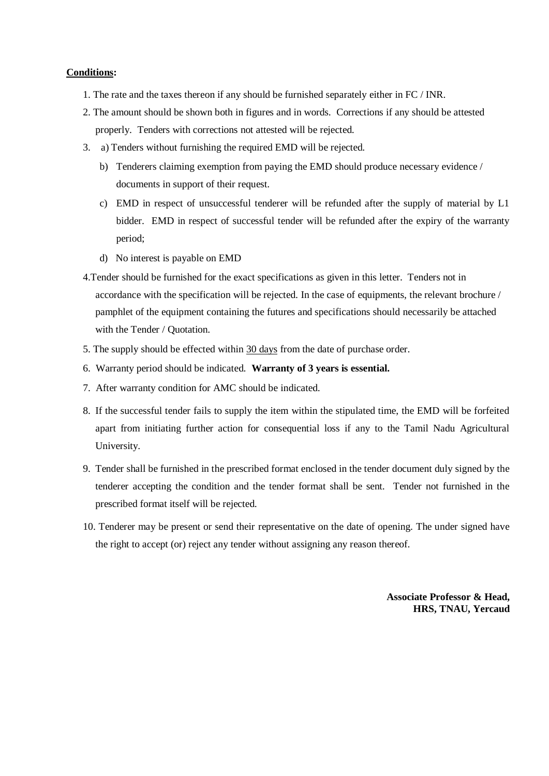#### **Conditions:**

- 1. The rate and the taxes thereon if any should be furnished separately either in FC / INR.
- 2. The amount should be shown both in figures and in words. Corrections if any should be attested properly. Tenders with corrections not attested will be rejected.
- 3. a) Tenders without furnishing the required EMD will be rejected.
	- b) Tenderers claiming exemption from paying the EMD should produce necessary evidence / documents in support of their request.
	- c) EMD in respect of unsuccessful tenderer will be refunded after the supply of material by L1 bidder. EMD in respect of successful tender will be refunded after the expiry of the warranty period;
	- d) No interest is payable on EMD
- 4.Tender should be furnished for the exact specifications as given in this letter. Tenders not in accordance with the specification will be rejected. In the case of equipments, the relevant brochure / pamphlet of the equipment containing the futures and specifications should necessarily be attached with the Tender / Quotation.
- 5. The supply should be effected within 30 days from the date of purchase order.
- 6. Warranty period should be indicated. **Warranty of 3 years is essential.**
- 7. After warranty condition for AMC should be indicated.
- 8. If the successful tender fails to supply the item within the stipulated time, the EMD will be forfeited apart from initiating further action for consequential loss if any to the Tamil Nadu Agricultural University.
- 9. Tender shall be furnished in the prescribed format enclosed in the tender document duly signed by the tenderer accepting the condition and the tender format shall be sent. Tender not furnished in the prescribed format itself will be rejected.
- 10. Tenderer may be present or send their representative on the date of opening. The under signed have the right to accept (or) reject any tender without assigning any reason thereof.

**Associate Professor & Head, HRS, TNAU, Yercaud**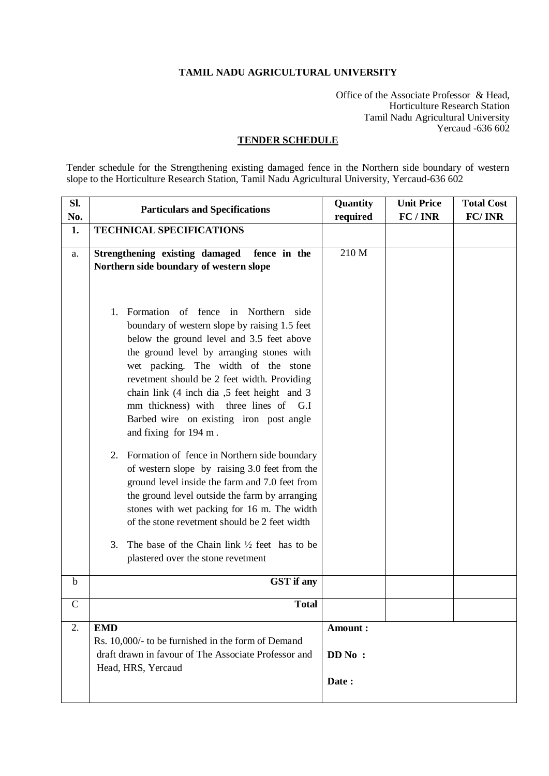### **TAMIL NADU AGRICULTURAL UNIVERSITY**

Office of the Associate Professor & Head, Horticulture Research Station Tamil Nadu Agricultural University Yercaud -636 602

### **TENDER SCHEDULE**

Tender schedule for the Strengthening existing damaged fence in the Northern side boundary of western slope to the Horticulture Research Station, Tamil Nadu Agricultural University, Yercaud-636 602

| SI.          | <b>Particulars and Specifications</b>                                                               | Quantity | <b>Unit Price</b><br>FC/INR | <b>Total Cost</b><br>FC/INR |
|--------------|-----------------------------------------------------------------------------------------------------|----------|-----------------------------|-----------------------------|
| No.<br>1.    | <b>TECHNICAL SPECIFICATIONS</b>                                                                     | required |                             |                             |
|              |                                                                                                     |          |                             |                             |
| a.           | Strengthening existing damaged<br>fence in the                                                      | 210 M    |                             |                             |
|              | Northern side boundary of western slope                                                             |          |                             |                             |
|              |                                                                                                     |          |                             |                             |
|              |                                                                                                     |          |                             |                             |
|              | Formation of fence in Northern side<br>1.                                                           |          |                             |                             |
|              | boundary of western slope by raising 1.5 feet                                                       |          |                             |                             |
|              | below the ground level and 3.5 feet above                                                           |          |                             |                             |
|              | the ground level by arranging stones with                                                           |          |                             |                             |
|              | wet packing. The width of the stone<br>revetment should be 2 feet width. Providing                  |          |                             |                             |
|              | chain link (4 inch dia ,5 feet height and 3                                                         |          |                             |                             |
|              | mm thickness) with three lines of G.I                                                               |          |                             |                             |
|              | Barbed wire on existing iron post angle                                                             |          |                             |                             |
|              | and fixing for 194 m.                                                                               |          |                             |                             |
|              |                                                                                                     |          |                             |                             |
|              | Formation of fence in Northern side boundary<br>2.<br>of western slope by raising 3.0 feet from the |          |                             |                             |
|              | ground level inside the farm and 7.0 feet from                                                      |          |                             |                             |
|              | the ground level outside the farm by arranging                                                      |          |                             |                             |
|              | stones with wet packing for 16 m. The width                                                         |          |                             |                             |
|              | of the stone revetment should be 2 feet width                                                       |          |                             |                             |
|              | The base of the Chain link $\frac{1}{2}$ feet has to be                                             |          |                             |                             |
|              | 3.<br>plastered over the stone revetment                                                            |          |                             |                             |
|              |                                                                                                     |          |                             |                             |
| $\mathbf b$  | <b>GST</b> if any                                                                                   |          |                             |                             |
| $\mathsf{C}$ | <b>Total</b>                                                                                        |          |                             |                             |
| 2.           | <b>EMD</b>                                                                                          | Amount:  |                             |                             |
|              | Rs. 10,000/- to be furnished in the form of Demand                                                  |          |                             |                             |
|              | draft drawn in favour of The Associate Professor and                                                | DD No:   |                             |                             |
|              | Head, HRS, Yercaud                                                                                  |          |                             |                             |
|              |                                                                                                     | Date:    |                             |                             |
|              |                                                                                                     |          |                             |                             |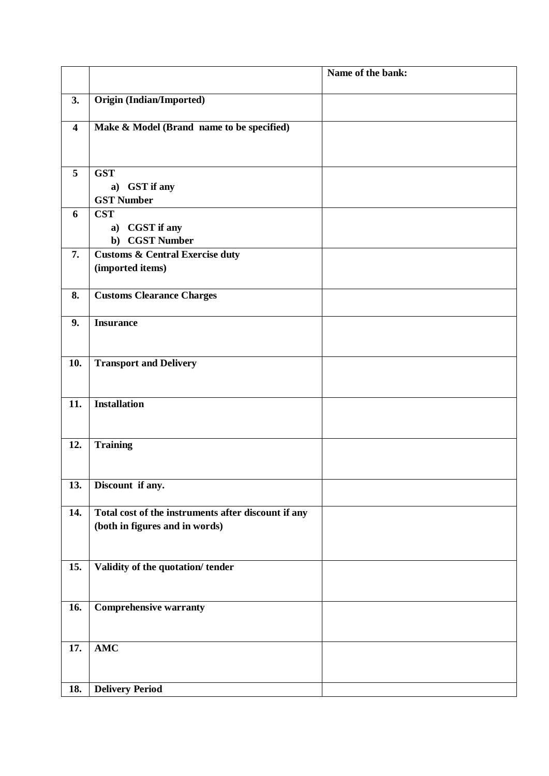|                         |                                                     | Name of the bank: |
|-------------------------|-----------------------------------------------------|-------------------|
|                         |                                                     |                   |
| 3.                      | <b>Origin (Indian/Imported)</b>                     |                   |
| $\overline{\mathbf{4}}$ | Make & Model (Brand name to be specified)           |                   |
|                         |                                                     |                   |
|                         |                                                     |                   |
| 5                       | <b>GST</b>                                          |                   |
|                         | <b>GST</b> if any<br>a)                             |                   |
|                         | <b>GST Number</b>                                   |                   |
| 6                       | <b>CST</b>                                          |                   |
|                         | a) CGST if any                                      |                   |
|                         | b) CGST Number                                      |                   |
| 7.                      | <b>Customs &amp; Central Exercise duty</b>          |                   |
|                         | (imported items)                                    |                   |
| 8.                      | <b>Customs Clearance Charges</b>                    |                   |
|                         |                                                     |                   |
| 9.                      | <b>Insurance</b>                                    |                   |
|                         |                                                     |                   |
|                         |                                                     |                   |
| 10.                     | <b>Transport and Delivery</b>                       |                   |
|                         |                                                     |                   |
| 11.                     | <b>Installation</b>                                 |                   |
|                         |                                                     |                   |
|                         |                                                     |                   |
| 12.                     | <b>Training</b>                                     |                   |
|                         |                                                     |                   |
|                         |                                                     |                   |
| 13.                     | Discount if any.                                    |                   |
|                         |                                                     |                   |
| 14.                     | Total cost of the instruments after discount if any |                   |
|                         | (both in figures and in words)                      |                   |
|                         |                                                     |                   |
| 15.                     | Validity of the quotation/tender                    |                   |
|                         |                                                     |                   |
|                         |                                                     |                   |
| 16.                     | <b>Comprehensive warranty</b>                       |                   |
|                         |                                                     |                   |
|                         |                                                     |                   |
| 17.                     | $\bold{AMC}$                                        |                   |
|                         |                                                     |                   |
| 18.                     | <b>Delivery Period</b>                              |                   |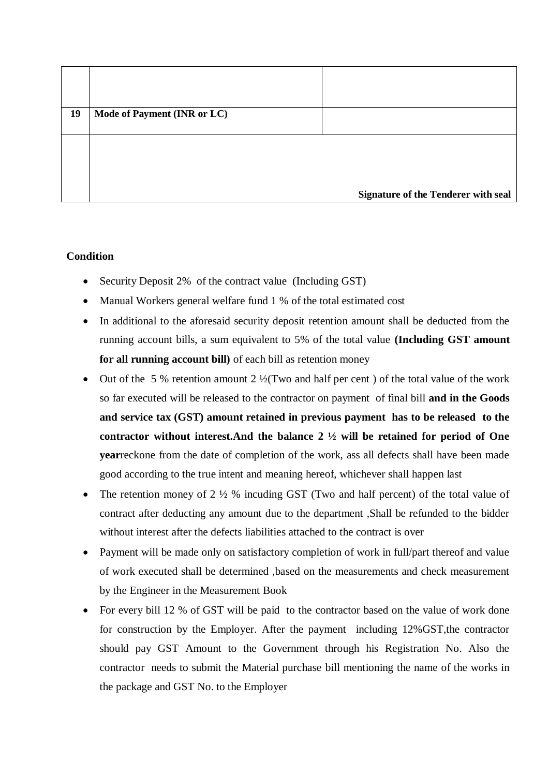| 19 | Mode of Payment (INR or LC) |                                            |
|----|-----------------------------|--------------------------------------------|
|    |                             |                                            |
|    |                             |                                            |
|    |                             | <b>Signature of the Tenderer with seal</b> |

# **Condition**

- Security Deposit 2% of the contract value (Including GST)
- Manual Workers general welfare fund 1 % of the total estimated cost
- In additional to the aforesaid security deposit retention amount shall be deducted from the running account bills, a sum equivalent to 5% of the total value **(Including GST amount for all running account bill)** of each bill as retention money
- Out of the 5 % retention amount  $2\frac{1}{2}$  Two and half per cent ) of the total value of the work so far executed will be released to the contractor on payment of final bill **and in the Goods and service tax (GST) amount retained in previous payment has to be released to the contractor without interest.And the balance 2 ½ will be retained for period of One year**reckone from the date of completion of the work, ass all defects shall have been made good according to the true intent and meaning hereof, whichever shall happen last
- The retention money of 2 ½ % incuding GST (Two and half percent) of the total value of contract after deducting any amount due to the department ,Shall be refunded to the bidder without interest after the defects liabilities attached to the contract is over
- Payment will be made only on satisfactory completion of work in full/part thereof and value of work executed shall be determined ,based on the measurements and check measurement by the Engineer in the Measurement Book
- For every bill 12 % of GST will be paid to the contractor based on the value of work done for construction by the Employer. After the payment including 12%GST,the contractor should pay GST Amount to the Government through his Registration No. Also the contractor needs to submit the Material purchase bill mentioning the name of the works in the package and GST No. to the Employer